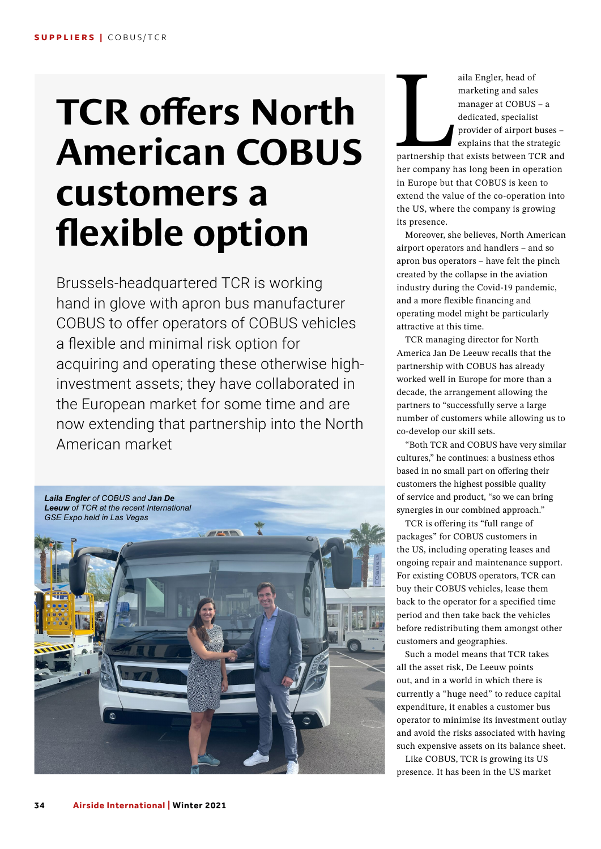## **TCR offers North American COBUS customers a flexible option**

Brussels-headquartered TCR is working hand in glove with apron bus manufacturer COBUS to offer operators of COBUS vehicles a flexible and minimal risk option for acquiring and operating these otherwise highinvestment assets; they have collaborated in the European market for some time and are now extending that partnership into the North American market



aila Engler, head of<br>marketing and sales<br>manager at COBUS<br>dedicated, specialist<br>provider of airport b<br>explains that the str<br>partnership that exists between TC<br>her company has long been in ope marketing and sales manager at COBUS – a dedicated, specialist provider of airport buses – explains that the strategic

partnership that exists between TCR and her company has long been in operation in Europe but that COBUS is keen to extend the value of the co-operation into the US, where the company is growing its presence.

Moreover, she believes, North American airport operators and handlers – and so apron bus operators – have felt the pinch created by the collapse in the aviation industry during the Covid-19 pandemic, and a more flexible financing and operating model might be particularly attractive at this time.

TCR managing director for North America Jan De Leeuw recalls that the partnership with COBUS has already worked well in Europe for more than a decade, the arrangement allowing the partners to "successfully serve a large number of customers while allowing us to co-develop our skill sets.

"Both TCR and COBUS have very similar cultures," he continues: a business ethos based in no small part on offering their customers the highest possible quality of service and product, "so we can bring synergies in our combined approach."

TCR is offering its "full range of packages" for COBUS customers in the US, including operating leases and ongoing repair and maintenance support. For existing COBUS operators, TCR can buy their COBUS vehicles, lease them back to the operator for a specified time period and then take back the vehicles before redistributing them amongst other customers and geographies.

Such a model means that TCR takes all the asset risk, De Leeuw points out, and in a world in which there is currently a "huge need" to reduce capital expenditure, it enables a customer bus operator to minimise its investment outlay and avoid the risks associated with having such expensive assets on its balance sheet.

Like COBUS, TCR is growing its US presence. It has been in the US market